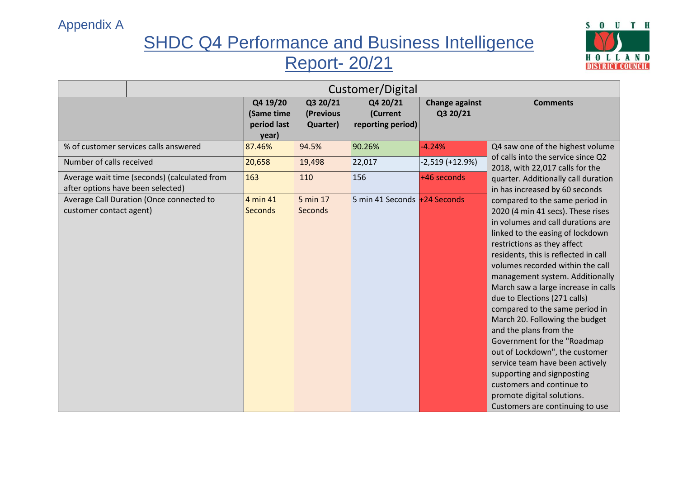

|                                                                                   | Customer/Digital                               |                                   |                                           |                                   |                                                                                                                                                                                                                                                                                                                                                                                                                                                                                                                                                                                                                                                                                                 |
|-----------------------------------------------------------------------------------|------------------------------------------------|-----------------------------------|-------------------------------------------|-----------------------------------|-------------------------------------------------------------------------------------------------------------------------------------------------------------------------------------------------------------------------------------------------------------------------------------------------------------------------------------------------------------------------------------------------------------------------------------------------------------------------------------------------------------------------------------------------------------------------------------------------------------------------------------------------------------------------------------------------|
|                                                                                   | Q4 19/20<br>(Same time<br>period last<br>year) | Q3 20/21<br>(Previous<br>Quarter) | Q4 20/21<br>(Current<br>reporting period) | <b>Change against</b><br>Q3 20/21 | <b>Comments</b>                                                                                                                                                                                                                                                                                                                                                                                                                                                                                                                                                                                                                                                                                 |
| % of customer services calls answered                                             | 87.46%                                         | 94.5%                             | 90.26%                                    | $-4.24%$                          | Q4 saw one of the highest volume                                                                                                                                                                                                                                                                                                                                                                                                                                                                                                                                                                                                                                                                |
| Number of calls received                                                          | 20,658                                         | 19,498                            | 22,017                                    | $-2,519 (+12.9%)$                 | of calls into the service since Q2<br>2018, with 22,017 calls for the                                                                                                                                                                                                                                                                                                                                                                                                                                                                                                                                                                                                                           |
| Average wait time (seconds) (calculated from<br>after options have been selected) | 163                                            | 110                               | 156                                       | +46 seconds                       | quarter. Additionally call duration<br>in has increased by 60 seconds                                                                                                                                                                                                                                                                                                                                                                                                                                                                                                                                                                                                                           |
| Average Call Duration (Once connected to<br>customer contact agent)               | 4 min 41<br><b>Seconds</b>                     | 5 min 17<br><b>Seconds</b>        | 5 min 41 Seconds +24 Seconds              |                                   | compared to the same period in<br>2020 (4 min 41 secs). These rises<br>in volumes and call durations are<br>linked to the easing of lockdown<br>restrictions as they affect<br>residents, this is reflected in call<br>volumes recorded within the call<br>management system. Additionally<br>March saw a large increase in calls<br>due to Elections (271 calls)<br>compared to the same period in<br>March 20. Following the budget<br>and the plans from the<br>Government for the "Roadmap<br>out of Lockdown", the customer<br>service team have been actively<br>supporting and signposting<br>customers and continue to<br>promote digital solutions.<br>Customers are continuing to use |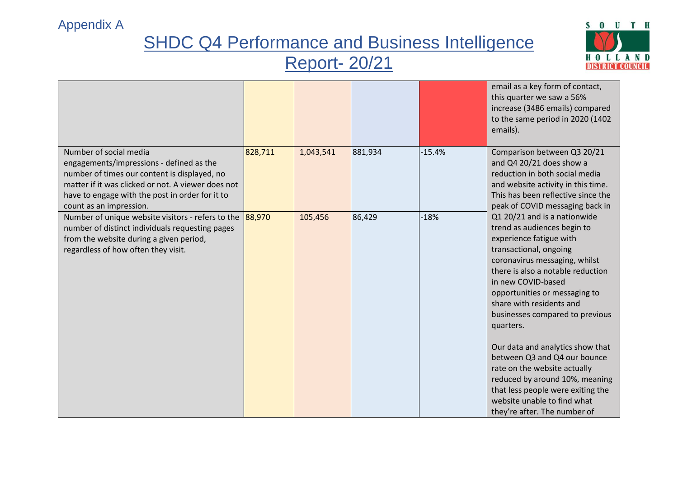

|                                                                                                                                                                                                                                                        |         |           |         |          | email as a key form of contact,<br>this quarter we saw a 56%<br>increase (3486 emails) compared<br>to the same period in 2020 (1402<br>emails).                                                                                                                                                                                                                                                                                                                                                                                                                     |
|--------------------------------------------------------------------------------------------------------------------------------------------------------------------------------------------------------------------------------------------------------|---------|-----------|---------|----------|---------------------------------------------------------------------------------------------------------------------------------------------------------------------------------------------------------------------------------------------------------------------------------------------------------------------------------------------------------------------------------------------------------------------------------------------------------------------------------------------------------------------------------------------------------------------|
| Number of social media<br>engagements/impressions - defined as the<br>number of times our content is displayed, no<br>matter if it was clicked or not. A viewer does not<br>have to engage with the post in order for it to<br>count as an impression. | 828,711 | 1,043,541 | 881,934 | $-15.4%$ | Comparison between Q3 20/21<br>and Q4 20/21 does show a<br>reduction in both social media<br>and website activity in this time.<br>This has been reflective since the<br>peak of COVID messaging back in                                                                                                                                                                                                                                                                                                                                                            |
| Number of unique website visitors - refers to the<br>number of distinct individuals requesting pages<br>from the website during a given period,<br>regardless of how often they visit.                                                                 | 88,970  | 105,456   | 86,429  | $-18%$   | Q1 20/21 and is a nationwide<br>trend as audiences begin to<br>experience fatigue with<br>transactional, ongoing<br>coronavirus messaging, whilst<br>there is also a notable reduction<br>in new COVID-based<br>opportunities or messaging to<br>share with residents and<br>businesses compared to previous<br>quarters.<br>Our data and analytics show that<br>between Q3 and Q4 our bounce<br>rate on the website actually<br>reduced by around 10%, meaning<br>that less people were exiting the<br>website unable to find what<br>they're after. The number of |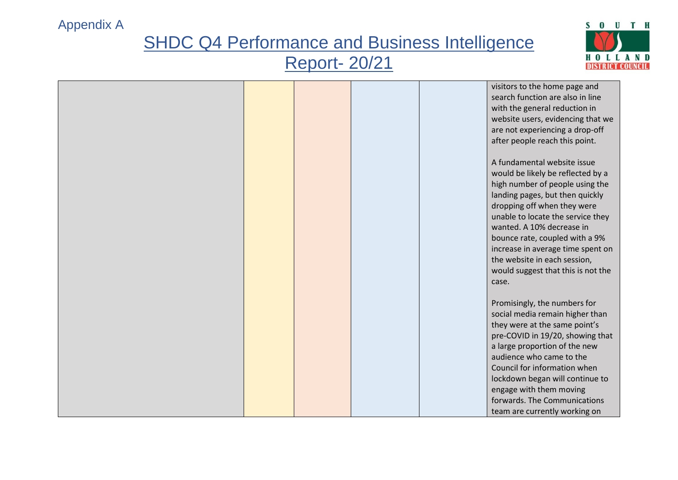

|  | visitors to the home page and      |
|--|------------------------------------|
|  | search function are also in line   |
|  | with the general reduction in      |
|  | website users, evidencing that we  |
|  | are not experiencing a drop-off    |
|  | after people reach this point.     |
|  |                                    |
|  | A fundamental website issue        |
|  |                                    |
|  | would be likely be reflected by a  |
|  | high number of people using the    |
|  | landing pages, but then quickly    |
|  | dropping off when they were        |
|  | unable to locate the service they  |
|  | wanted. A 10% decrease in          |
|  | bounce rate, coupled with a 9%     |
|  | increase in average time spent on  |
|  | the website in each session,       |
|  | would suggest that this is not the |
|  | case.                              |
|  |                                    |
|  | Promisingly, the numbers for       |
|  | social media remain higher than    |
|  | they were at the same point's      |
|  | pre-COVID in 19/20, showing that   |
|  | a large proportion of the new      |
|  | audience who came to the           |
|  | Council for information when       |
|  |                                    |
|  | lockdown began will continue to    |
|  | engage with them moving            |
|  | forwards. The Communications       |
|  | team are currently working on      |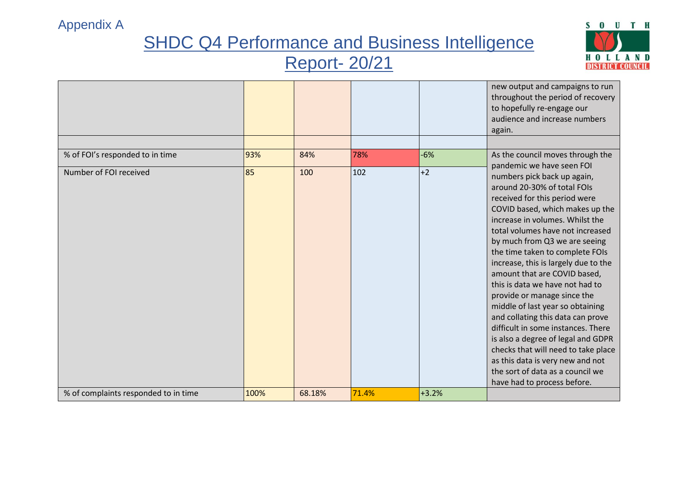

|                                      |      |        |       |         | new output and campaigns to run<br>throughout the period of recovery<br>to hopefully re-engage our<br>audience and increase numbers<br>again.                                                                                                                                                                                                                                                                                                                                                                                                                                                                                                                                                                                                       |
|--------------------------------------|------|--------|-------|---------|-----------------------------------------------------------------------------------------------------------------------------------------------------------------------------------------------------------------------------------------------------------------------------------------------------------------------------------------------------------------------------------------------------------------------------------------------------------------------------------------------------------------------------------------------------------------------------------------------------------------------------------------------------------------------------------------------------------------------------------------------------|
|                                      |      |        |       |         |                                                                                                                                                                                                                                                                                                                                                                                                                                                                                                                                                                                                                                                                                                                                                     |
| % of FOI's responded to in time      | 93%  | 84%    | 78%   | $-6%$   | As the council moves through the                                                                                                                                                                                                                                                                                                                                                                                                                                                                                                                                                                                                                                                                                                                    |
| Number of FOI received               | 85   | 100    | 102   | $+2$    | pandemic we have seen FOI<br>numbers pick back up again,<br>around 20-30% of total FOIs<br>received for this period were<br>COVID based, which makes up the<br>increase in volumes. Whilst the<br>total volumes have not increased<br>by much from Q3 we are seeing<br>the time taken to complete FOIs<br>increase, this is largely due to the<br>amount that are COVID based,<br>this is data we have not had to<br>provide or manage since the<br>middle of last year so obtaining<br>and collating this data can prove<br>difficult in some instances. There<br>is also a degree of legal and GDPR<br>checks that will need to take place<br>as this data is very new and not<br>the sort of data as a council we<br>have had to process before. |
| % of complaints responded to in time | 100% | 68.18% | 71.4% | $+3.2%$ |                                                                                                                                                                                                                                                                                                                                                                                                                                                                                                                                                                                                                                                                                                                                                     |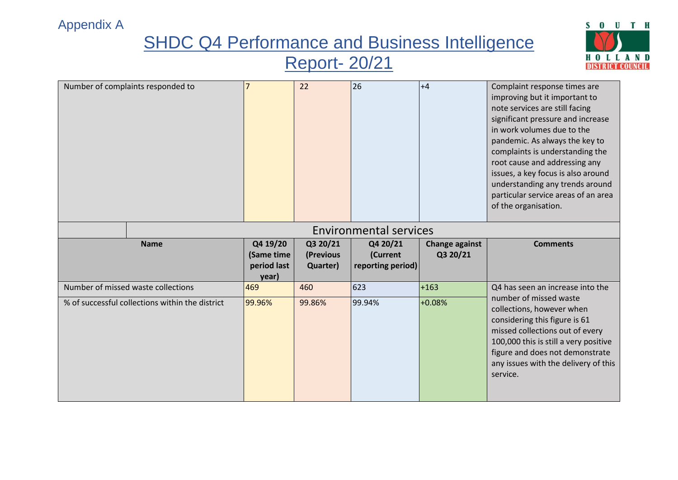## **SHDC Q4 Performance and Business Intelligence**

### Report- 20/21



| Number of complaints responded to  |                        | 22                    | 26                            | $+4$                  | Complaint response times are<br>improving but it important to<br>note services are still facing<br>significant pressure and increase<br>in work volumes due to the<br>pandemic. As always the key to<br>complaints is understanding the<br>root cause and addressing any<br>issues, a key focus is also around<br>understanding any trends around<br>particular service areas of an area<br>of the organisation. |
|------------------------------------|------------------------|-----------------------|-------------------------------|-----------------------|------------------------------------------------------------------------------------------------------------------------------------------------------------------------------------------------------------------------------------------------------------------------------------------------------------------------------------------------------------------------------------------------------------------|
|                                    |                        |                       | <b>Environmental services</b> |                       |                                                                                                                                                                                                                                                                                                                                                                                                                  |
| <b>Name</b>                        | Q4 19/20<br>(Same time | Q3 20/21<br>(Previous | Q4 20/21                      | <b>Change against</b> | <b>Comments</b>                                                                                                                                                                                                                                                                                                                                                                                                  |
|                                    | period last<br>year)   | Quarter)              | (Current<br>reporting period) | Q3 20/21              |                                                                                                                                                                                                                                                                                                                                                                                                                  |
| Number of missed waste collections | 469                    | 460                   | 623                           | $+163$                | Q4 has seen an increase into the<br>number of missed waste                                                                                                                                                                                                                                                                                                                                                       |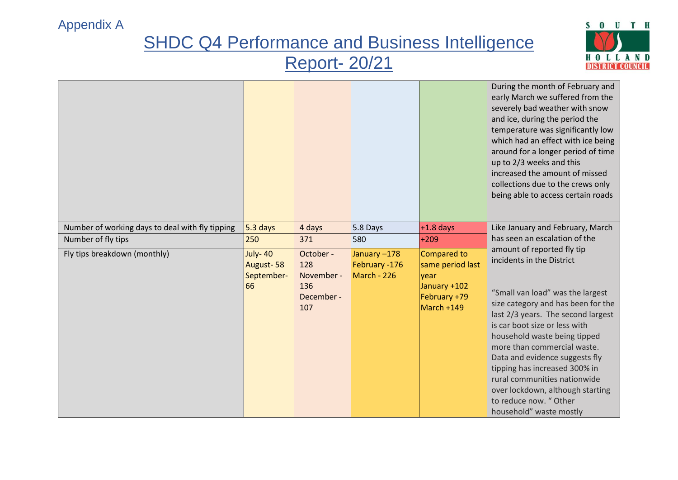

|                                                 |                                                 |                                                            |                                             |                                                                                       | During the month of February and<br>early March we suffered from the<br>severely bad weather with snow<br>and ice, during the period the<br>temperature was significantly low<br>which had an effect with ice being<br>around for a longer period of time<br>up to 2/3 weeks and this<br>increased the amount of missed<br>collections due to the crews only<br>being able to access certain roads                                                                 |
|-------------------------------------------------|-------------------------------------------------|------------------------------------------------------------|---------------------------------------------|---------------------------------------------------------------------------------------|--------------------------------------------------------------------------------------------------------------------------------------------------------------------------------------------------------------------------------------------------------------------------------------------------------------------------------------------------------------------------------------------------------------------------------------------------------------------|
| Number of working days to deal with fly tipping | $5.3$ days                                      | 4 days                                                     | $5.8$ Days                                  | $+1.8$ days                                                                           | Like January and February, March                                                                                                                                                                                                                                                                                                                                                                                                                                   |
| Number of fly tips                              | 250                                             | 371                                                        | 580                                         | $+209$                                                                                | has seen an escalation of the                                                                                                                                                                                                                                                                                                                                                                                                                                      |
| Fly tips breakdown (monthly)                    | <b>July-40</b><br>August-58<br>September-<br>66 | October -<br>128<br>November -<br>136<br>December -<br>107 | January-178<br>February -176<br>March - 226 | Compared to<br>same period last<br>year<br>January +102<br>February +79<br>March +149 | amount of reported fly tip<br>incidents in the District<br>"Small van load" was the largest<br>size category and has been for the<br>last 2/3 years. The second largest<br>is car boot size or less with<br>household waste being tipped<br>more than commercial waste.<br>Data and evidence suggests fly<br>tipping has increased 300% in<br>rural communities nationwide<br>over lockdown, although starting<br>to reduce now. "Other<br>household" waste mostly |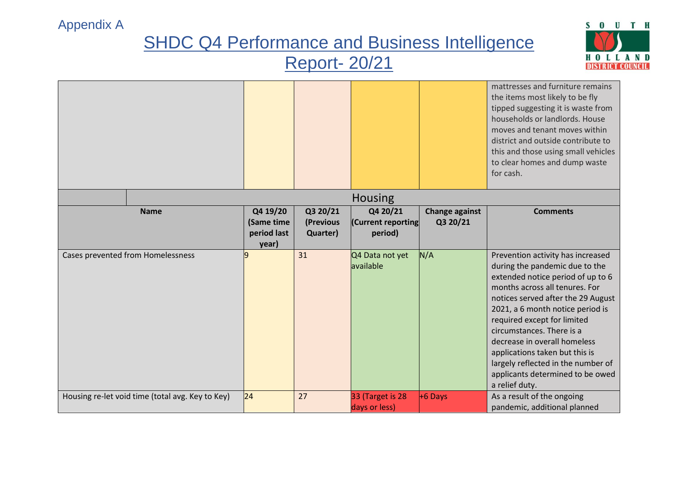

|                                                  |                                                |                                   |                                           |                                   | mattresses and furniture remains<br>the items most likely to be fly<br>tipped suggesting it is waste from<br>households or landlords. House<br>moves and tenant moves within<br>district and outside contribute to<br>this and those using small vehicles<br>to clear homes and dump waste<br>for cash.                                                                                                                                        |
|--------------------------------------------------|------------------------------------------------|-----------------------------------|-------------------------------------------|-----------------------------------|------------------------------------------------------------------------------------------------------------------------------------------------------------------------------------------------------------------------------------------------------------------------------------------------------------------------------------------------------------------------------------------------------------------------------------------------|
|                                                  |                                                |                                   | <b>Housing</b>                            |                                   |                                                                                                                                                                                                                                                                                                                                                                                                                                                |
| <b>Name</b>                                      | Q4 19/20<br>(Same time<br>period last<br>year) | Q3 20/21<br>(Previous<br>Quarter) | Q4 20/21<br>(Current reporting<br>period) | <b>Change against</b><br>Q3 20/21 | <b>Comments</b>                                                                                                                                                                                                                                                                                                                                                                                                                                |
| Cases prevented from Homelessness                | q                                              | 31                                | Q4 Data not yet<br>available              | N/A                               | Prevention activity has increased<br>during the pandemic due to the<br>extended notice period of up to 6<br>months across all tenures. For<br>notices served after the 29 August<br>2021, a 6 month notice period is<br>required except for limited<br>circumstances. There is a<br>decrease in overall homeless<br>applications taken but this is<br>largely reflected in the number of<br>applicants determined to be owed<br>a relief duty. |
| Housing re-let void time (total avg. Key to Key) | 24                                             | 27                                | 33 (Target is 28<br>days or less)         | $+6$ Days                         | As a result of the ongoing<br>pandemic, additional planned                                                                                                                                                                                                                                                                                                                                                                                     |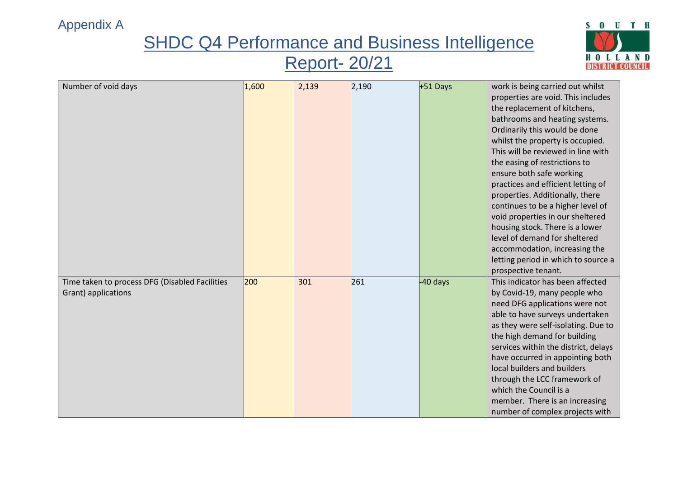# **SHDC Q4 Performance and Business Intelligence**

### Report- 20/21



| Number of void days                            | 1,600 | 2,139 | 2,190 | $+51$ Days | work is being carried out whilst     |
|------------------------------------------------|-------|-------|-------|------------|--------------------------------------|
|                                                |       |       |       |            | properties are void. This includes   |
|                                                |       |       |       |            | the replacement of kitchens,         |
|                                                |       |       |       |            | bathrooms and heating systems.       |
|                                                |       |       |       |            | Ordinarily this would be done        |
|                                                |       |       |       |            |                                      |
|                                                |       |       |       |            | whilst the property is occupied.     |
|                                                |       |       |       |            | This will be reviewed in line with   |
|                                                |       |       |       |            | the easing of restrictions to        |
|                                                |       |       |       |            | ensure both safe working             |
|                                                |       |       |       |            | practices and efficient letting of   |
|                                                |       |       |       |            | properties. Additionally, there      |
|                                                |       |       |       |            | continues to be a higher level of    |
|                                                |       |       |       |            | void properties in our sheltered     |
|                                                |       |       |       |            | housing stock. There is a lower      |
|                                                |       |       |       |            | level of demand for sheltered        |
|                                                |       |       |       |            | accommodation, increasing the        |
|                                                |       |       |       |            | letting period in which to source a  |
|                                                |       |       |       |            | prospective tenant.                  |
| Time taken to process DFG (Disabled Facilities | 200   | 301   | 261   | -40 days   | This indicator has been affected     |
| Grant) applications                            |       |       |       |            | by Covid-19, many people who         |
|                                                |       |       |       |            | need DFG applications were not       |
|                                                |       |       |       |            | able to have surveys undertaken      |
|                                                |       |       |       |            | as they were self-isolating. Due to  |
|                                                |       |       |       |            | the high demand for building         |
|                                                |       |       |       |            | services within the district, delays |
|                                                |       |       |       |            | have occurred in appointing both     |
|                                                |       |       |       |            | local builders and builders          |
|                                                |       |       |       |            | through the LCC framework of         |
|                                                |       |       |       |            | which the Council is a               |
|                                                |       |       |       |            | member. There is an increasing       |
|                                                |       |       |       |            | number of complex projects with      |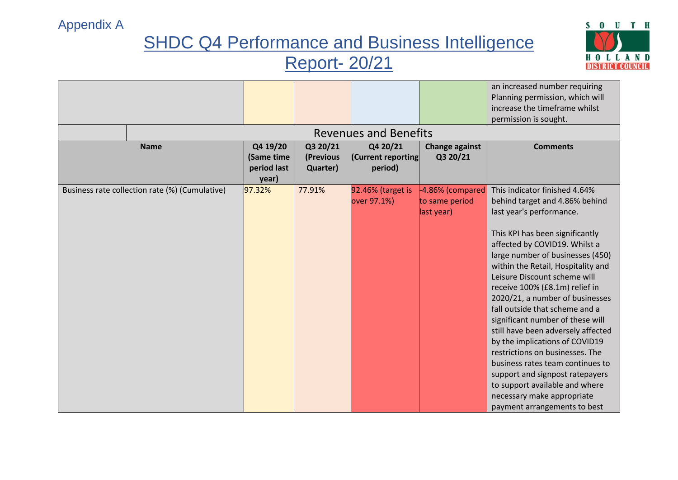

|                                                |                        |                       | <b>Revenues and Benefits</b>     |                                                  | an increased number requiring<br>Planning permission, which will<br>increase the timeframe whilst<br>permission is sought.                                                                                                                                                                                                                                                                                                                                                                                                                                                                                                                                                                             |
|------------------------------------------------|------------------------|-----------------------|----------------------------------|--------------------------------------------------|--------------------------------------------------------------------------------------------------------------------------------------------------------------------------------------------------------------------------------------------------------------------------------------------------------------------------------------------------------------------------------------------------------------------------------------------------------------------------------------------------------------------------------------------------------------------------------------------------------------------------------------------------------------------------------------------------------|
| <b>Name</b>                                    | Q4 19/20<br>(Same time | Q3 20/21<br>(Previous | Q4 20/21<br>(Current reporting   | <b>Change against</b><br>Q3 20/21                | <b>Comments</b>                                                                                                                                                                                                                                                                                                                                                                                                                                                                                                                                                                                                                                                                                        |
|                                                | period last<br>year)   | Quarter)              | period)                          |                                                  |                                                                                                                                                                                                                                                                                                                                                                                                                                                                                                                                                                                                                                                                                                        |
| Business rate collection rate (%) (Cumulative) | 97.32%                 | 77.91%                | 92.46% (target is<br>over 97.1%) | -4.86% (compared<br>to same period<br>last year) | This indicator finished 4.64%<br>behind target and 4.86% behind<br>last year's performance.<br>This KPI has been significantly<br>affected by COVID19. Whilst a<br>large number of businesses (450)<br>within the Retail, Hospitality and<br>Leisure Discount scheme will<br>receive 100% (£8.1m) relief in<br>2020/21, a number of businesses<br>fall outside that scheme and a<br>significant number of these will<br>still have been adversely affected<br>by the implications of COVID19<br>restrictions on businesses. The<br>business rates team continues to<br>support and signpost ratepayers<br>to support available and where<br>necessary make appropriate<br>payment arrangements to best |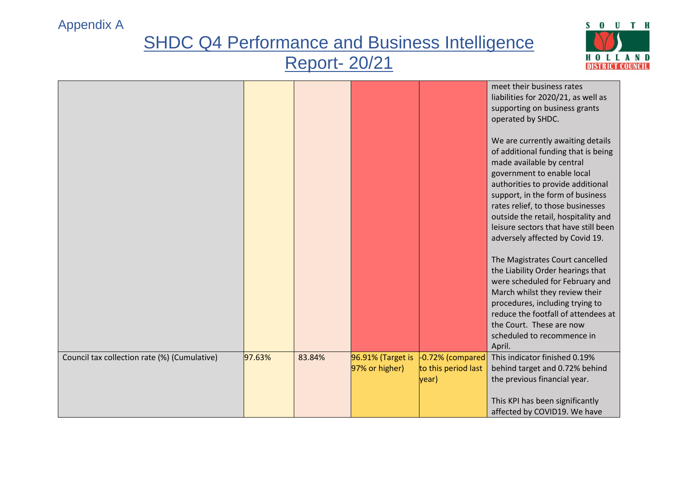

|                                              |        |        |                                     |                                                    | meet their business rates<br>liabilities for 2020/21, as well as<br>supporting on business grants<br>operated by SHDC.                                                                                                                                                                                                                                              |
|----------------------------------------------|--------|--------|-------------------------------------|----------------------------------------------------|---------------------------------------------------------------------------------------------------------------------------------------------------------------------------------------------------------------------------------------------------------------------------------------------------------------------------------------------------------------------|
|                                              |        |        |                                     |                                                    | We are currently awaiting details<br>of additional funding that is being<br>made available by central<br>government to enable local<br>authorities to provide additional<br>support, in the form of business<br>rates relief, to those businesses<br>outside the retail, hospitality and<br>leisure sectors that have still been<br>adversely affected by Covid 19. |
|                                              |        |        |                                     |                                                    | The Magistrates Court cancelled<br>the Liability Order hearings that<br>were scheduled for February and<br>March whilst they review their<br>procedures, including trying to<br>reduce the footfall of attendees at<br>the Court. These are now<br>scheduled to recommence in<br>April.                                                                             |
| Council tax collection rate (%) (Cumulative) | 97.63% | 83.84% | 96.91% (Target is<br>97% or higher) | $-0.72%$ (compared<br>to this period last<br>year) | This indicator finished 0.19%<br>behind target and 0.72% behind<br>the previous financial year.<br>This KPI has been significantly<br>affected by COVID19. We have                                                                                                                                                                                                  |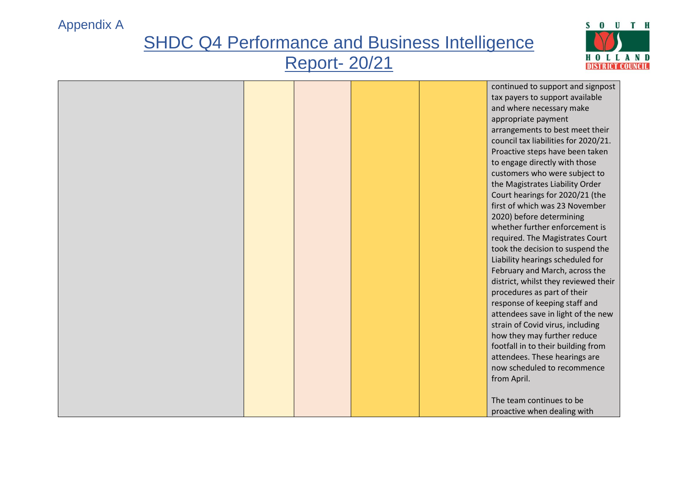

|  | continued to support and signpost    |
|--|--------------------------------------|
|  | tax payers to support available      |
|  | and where necessary make             |
|  | appropriate payment                  |
|  | arrangements to best meet their      |
|  | council tax liabilities for 2020/21. |
|  | Proactive steps have been taken      |
|  | to engage directly with those        |
|  | customers who were subject to        |
|  | the Magistrates Liability Order      |
|  | Court hearings for 2020/21 (the      |
|  | first of which was 23 November       |
|  | 2020) before determining             |
|  | whether further enforcement is       |
|  |                                      |
|  | required. The Magistrates Court      |
|  | took the decision to suspend the     |
|  | Liability hearings scheduled for     |
|  | February and March, across the       |
|  | district, whilst they reviewed their |
|  | procedures as part of their          |
|  | response of keeping staff and        |
|  | attendees save in light of the new   |
|  | strain of Covid virus, including     |
|  | how they may further reduce          |
|  | footfall in to their building from   |
|  | attendees. These hearings are        |
|  | now scheduled to recommence          |
|  | from April.                          |
|  |                                      |
|  | The team continues to be             |
|  | proactive when dealing with          |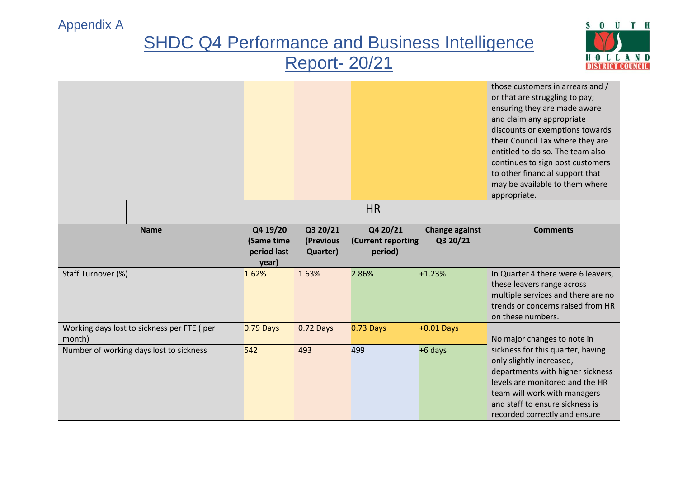

|                    |                                            |                                                |                                   |                                           |                                   | those customers in arrears and /<br>or that are struggling to pay;<br>ensuring they are made aware<br>and claim any appropriate                                                                                                          |
|--------------------|--------------------------------------------|------------------------------------------------|-----------------------------------|-------------------------------------------|-----------------------------------|------------------------------------------------------------------------------------------------------------------------------------------------------------------------------------------------------------------------------------------|
|                    |                                            |                                                |                                   |                                           |                                   | discounts or exemptions towards<br>their Council Tax where they are<br>entitled to do so. The team also<br>continues to sign post customers<br>to other financial support that<br>may be available to them where                         |
|                    |                                            |                                                |                                   |                                           |                                   | appropriate.                                                                                                                                                                                                                             |
|                    |                                            |                                                |                                   | <b>HR</b>                                 |                                   |                                                                                                                                                                                                                                          |
|                    | <b>Name</b>                                | Q4 19/20<br>(Same time<br>period last<br>year) | Q3 20/21<br>(Previous<br>Quarter) | Q4 20/21<br>(Current reporting<br>period) | <b>Change against</b><br>Q3 20/21 | <b>Comments</b>                                                                                                                                                                                                                          |
| Staff Turnover (%) |                                            | 1.62%                                          | 1.63%                             | 2.86%                                     | $+1.23%$                          | In Quarter 4 there were 6 leavers,<br>these leavers range across<br>multiple services and there are no<br>trends or concerns raised from HR<br>on these numbers.                                                                         |
| month)             | Working days lost to sickness per FTE (per | $0.79$ Days                                    | 0.72 Days                         | $0.73$ Days                               | $+0.01$ Days                      | No major changes to note in                                                                                                                                                                                                              |
|                    | Number of working days lost to sickness    | 542                                            | 493                               | 499                                       | +6 days                           | sickness for this quarter, having<br>only slightly increased,<br>departments with higher sickness<br>levels are monitored and the HR<br>team will work with managers<br>and staff to ensure sickness is<br>recorded correctly and ensure |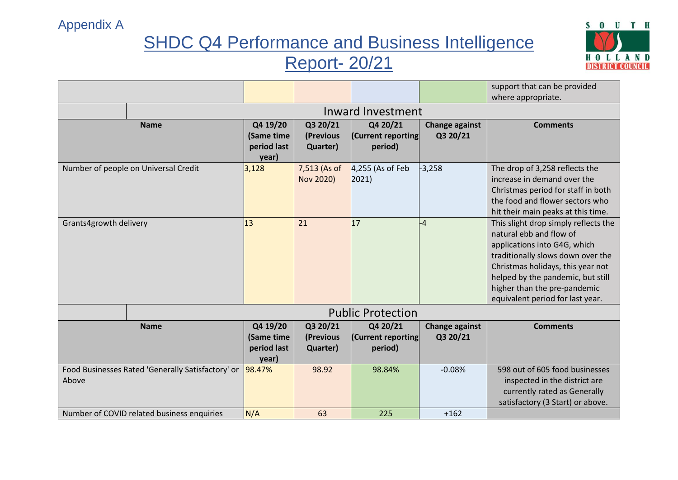

|                                                            |                          |                                                |                                   |                                           |                                   | support that can be provided                                                                                                                                                                                                                                                       |  |  |
|------------------------------------------------------------|--------------------------|------------------------------------------------|-----------------------------------|-------------------------------------------|-----------------------------------|------------------------------------------------------------------------------------------------------------------------------------------------------------------------------------------------------------------------------------------------------------------------------------|--|--|
|                                                            |                          |                                                |                                   |                                           |                                   | where appropriate.                                                                                                                                                                                                                                                                 |  |  |
|                                                            | Inward Investment        |                                                |                                   |                                           |                                   |                                                                                                                                                                                                                                                                                    |  |  |
| <b>Name</b>                                                |                          | Q4 19/20<br>(Same time<br>period last<br>year) | Q3 20/21<br>(Previous<br>Quarter) | Q4 20/21<br>(Current reporting<br>period) | <b>Change against</b><br>Q3 20/21 | <b>Comments</b>                                                                                                                                                                                                                                                                    |  |  |
| Number of people on Universal Credit                       |                          | 3,128                                          | 7,513 (As of<br>Nov 2020)         | $4,255$ (As of Feb<br>$ 2021\rangle$      | $-3,258$                          | The drop of 3,258 reflects the<br>increase in demand over the<br>Christmas period for staff in both<br>the food and flower sectors who<br>hit their main peaks at this time.                                                                                                       |  |  |
| Grants4growth delivery                                     |                          | 13                                             | 21                                | 17                                        | $-4$                              | This slight drop simply reflects the<br>natural ebb and flow of<br>applications into G4G, which<br>traditionally slows down over the<br>Christmas holidays, this year not<br>helped by the pandemic, but still<br>higher than the pre-pandemic<br>equivalent period for last year. |  |  |
|                                                            | <b>Public Protection</b> |                                                |                                   |                                           |                                   |                                                                                                                                                                                                                                                                                    |  |  |
| <b>Name</b>                                                |                          | Q4 19/20<br>(Same time<br>period last<br>year) | Q3 20/21<br>(Previous<br>Quarter) | Q4 20/21<br>(Current reporting<br>period) | <b>Change against</b><br>Q3 20/21 | <b>Comments</b>                                                                                                                                                                                                                                                                    |  |  |
| Food Businesses Rated 'Generally Satisfactory' or<br>Above |                          | 98.47%                                         | 98.92                             | 98.84%                                    | $-0.08%$                          | 598 out of 605 food businesses<br>inspected in the district are<br>currently rated as Generally<br>satisfactory (3 Start) or above.                                                                                                                                                |  |  |
| Number of COVID related business enquiries                 |                          | N/A                                            | 63                                | 225                                       | $+162$                            |                                                                                                                                                                                                                                                                                    |  |  |